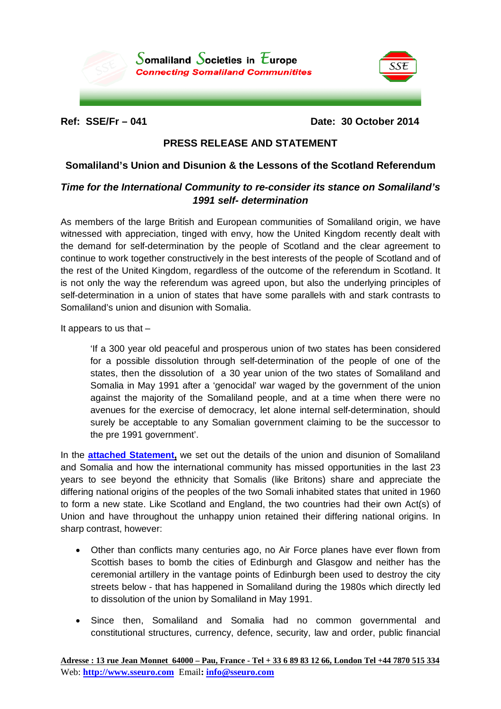

**Ref: SSE/Fr – 041 Date: 30 October 2014**

SSE

## **PRESS RELEASE AND STATEMENT**

## **Somaliland's Union and Disunion & the Lessons of the Scotland Referendum**

## *Time for the International Community to re-consider its stance on Somaliland's 1991 self- determination*

As members of the large British and European communities of Somaliland origin, we have witnessed with appreciation, tinged with envy, how the United Kingdom recently dealt with the demand for self-determination by the people of Scotland and the clear agreement to continue to work together constructively in the best interests of the people of Scotland and of the rest of the United Kingdom, regardless of the outcome of the referendum in Scotland. It is not only the way the referendum was agreed upon, but also the underlying principles of self-determination in a union of states that have some parallels with and stark contrasts to Somaliland's union and disunion with Somalia.

It appears to us that  $-$ 

'If a 300 year old peaceful and prosperous union of two states has been considered for a possible dissolution through self-determination of the people of one of the states, then the dissolution of a 30 year union of the two states of Somaliland and Somalia in May 1991 after a 'genocidal' war waged by the government of the union against the majority of the Somaliland people, and at a time when there were no avenues for the exercise of democracy, let alone internal self-determination, should surely be acceptable to any Somalian government claiming to be the successor to the pre 1991 government'.

In the **[attached Statement,](http://www.somalilandlaw.com/SSE_Somalilands_disunion___Scotlands_Ref_R2.pdf)** we set out the details of the union and disunion of Somaliland and Somalia and how the international community has missed opportunities in the last 23 years to see beyond the ethnicity that Somalis (like Britons) share and appreciate the differing national origins of the peoples of the two Somali inhabited states that united in 1960 to form a new state. Like Scotland and England, the two countries had their own Act(s) of Union and have throughout the unhappy union retained their differing national origins. In sharp contrast, however:

- Other than conflicts many centuries ago, no Air Force planes have ever flown from Scottish bases to bomb the cities of Edinburgh and Glasgow and neither has the ceremonial artillery in the vantage points of Edinburgh been used to destroy the city streets below - that has happened in Somaliland during the 1980s which directly led to dissolution of the union by Somaliland in May 1991.
- Since then, Somaliland and Somalia had no common governmental and constitutional structures, currency, defence, security, law and order, public financial